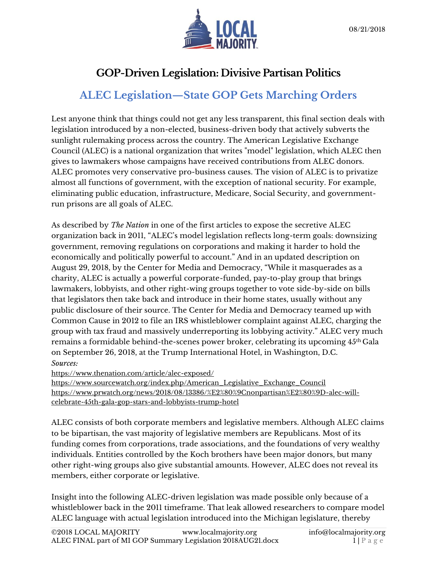

## **GOP-Driven Legislation: Divisive Partisan Politics**

# **ALEC Legislation—State GOP Gets Marching Orders**

Lest anyone think that things could not get any less transparent, this final section deals with legislation introduced by a non-elected, business-driven body that actively subverts the sunlight rulemaking process across the country. The American Legislative Exchange Council (ALEC) is a national organization that writes "model" legislation, which ALEC then gives to lawmakers whose campaigns have received contributions from ALEC donors. ALEC promotes very conservative pro-business causes. The vision of ALEC is to privatize almost all functions of government, with the exception of national security. For example, eliminating public education, infrastructure, Medicare, Social Security, and governmentrun prisons are all goals of ALEC.

As described by *The Nation* in one of the first articles to expose the secretive ALEC organization back in 2011, "ALEC's model legislation reflects long-term goals: downsizing government, removing regulations on corporations and making it harder to hold the economically and politically powerful to account." And in an updated description on August 29, 2018, by the Center for Media and Democracy, "While it masquerades as a charity, ALEC is actually a powerful corporate-funded, pay-to-play group that brings lawmakers, lobbyists, and other right-wing groups together to vote side-by-side on bills that legislators then take back and introduce in their home states, usually without any public disclosure of their source. The Center for Media and Democracy teamed up with Common Cause in 2012 to file an IRS whistleblower complaint against ALEC, charging the group with tax fraud and massively underreporting its lobbying activity." ALEC very much remains a formidable behind-the-scenes power broker, celebrating its upcoming 45th Gala on September 26, 2018, at the Trump International Hotel, in Washington, D.C. *Sources:*

https://www.thenation.com/article/alec-exposed/

https://www.sourcewatch.org/index.php/American\_Legislative\_Exchange\_Council https://www.prwatch.org/news/2018/08/13386/%E2%80%9Cnonpartisan%E2%80%9D-alec-willcelebrate-45th-gala-gop-stars-and-lobbyists-trump-hotel

ALEC consists of both corporate members and legislative members. Although ALEC claims to be bipartisan, the vast majority of legislative members are Republicans. Most of its funding comes from corporations, trade associations, and the foundations of very wealthy individuals. Entities controlled by the Koch brothers have been major donors, but many other right-wing groups also give substantial amounts. However, ALEC does not reveal its members, either corporate or legislative.

Insight into the following ALEC-driven legislation was made possible only because of a whistleblower back in the 2011 timeframe. That leak allowed researchers to compare model ALEC language with actual legislation introduced into the Michigan legislature, thereby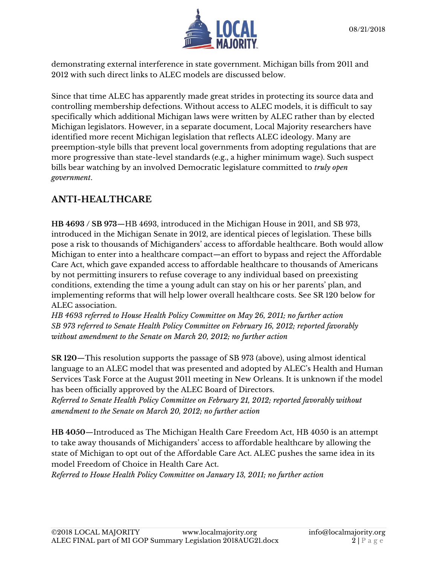

demonstrating external interference in state government. Michigan bills from 2011 and 2012 with such direct links to ALEC models are discussed below.

Since that time ALEC has apparently made great strides in protecting its source data and controlling membership defections. Without access to ALEC models, it is difficult to say specifically which additional Michigan laws were written by ALEC rather than by elected Michigan legislators. However, in a separate document, Local Majority researchers have identified more recent Michigan legislation that reflects ALEC ideology. Many are preemption-style bills that prevent local governments from adopting regulations that are more progressive than state-level standards (e.g., a higher minimum wage). Such suspect bills bear watching by an involved Democratic legislature committed to *truly open government*.

### **ANTI-HEALTHCARE**

**HB 4693 / SB 973**—HB 4693, introduced in the Michigan House in 2011, and SB 973, introduced in the Michigan Senate in 2012, are identical pieces of legislation. These bills pose a risk to thousands of Michiganders' access to affordable healthcare. Both would allow Michigan to enter into a healthcare compact—an effort to bypass and reject the Affordable Care Act, which gave expanded access to affordable healthcare to thousands of Americans by not permitting insurers to refuse coverage to any individual based on preexisting conditions, extending the time a young adult can stay on his or her parents' plan, and implementing reforms that will help lower overall healthcare costs. See SR 120 below for ALEC association.

*HB 4693 referred to House Health Policy Committee on May 26, 2011; no further action SB 973 referred to Senate Health Policy Committee on February 16, 2012; reported favorably without amendment to the Senate on March 20, 2012; no further action*

**SR 120**—This resolution supports the passage of SB 973 (above), using almost identical language to an ALEC model that was presented and adopted by ALEC's Health and Human Services Task Force at the August 2011 meeting in New Orleans. It is unknown if the model has been officially approved by the ALEC Board of Directors.

*Referred to Senate Health Policy Committee on February 21, 2012; reported favorably without amendment to the Senate on March 20, 2012; no further action*

**HB 4050**—Introduced as The Michigan Health Care Freedom Act, HB 4050 is an attempt to take away thousands of Michiganders' access to affordable healthcare by allowing the state of Michigan to opt out of the Affordable Care Act. ALEC pushes the same idea in its model Freedom of Choice in Health Care Act.

*Referred to House Health Policy Committee on January 13, 2011; no further action*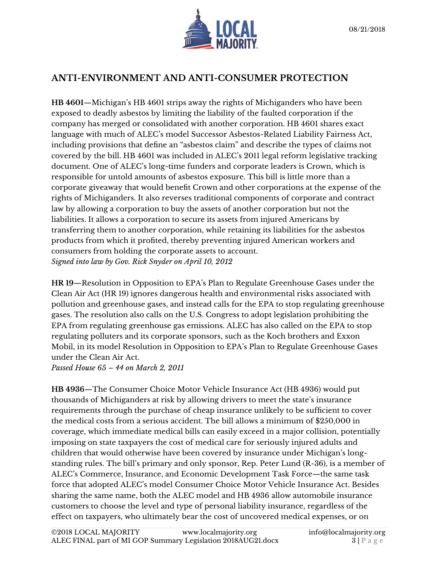

### **ANTI-ENVIRONMENT AND ANTI-CONSUMER PROTECTION**

**HB 4601**—Michigan's HB 4601 strips away the rights of Michiganders who have been exposed to deadly asbestos by limiting the liability of the faulted corporation if the company has merged or consolidated with another corporation. HB 4601 shares exact language with much of ALEC's model Successor Asbestos-Related Liability Fairness Act, including provisions that define an "asbestos claim" and describe the types of claims not covered by the bill. HB 4601 was included in ALEC's 2011 legal reform legislative tracking document. One of ALEC's long-time funders and corporate leaders is Crown, which is responsible for untold amounts of asbestos exposure. This bill is little more than a corporate giveaway that would benefit Crown and other corporations at the expense of the rights of Michiganders. It also reverses traditional components of corporate and contract law by allowing a corporation to buy the assets of another corporation but not the liabilities. It allows a corporation to secure its assets from injured Americans by transferring them to another corporation, while retaining its liabilities for the asbestos products from which it profited, thereby preventing injured American workers and consumers from holding the corporate assets to account. *Signed into law by Gov. Rick Snyder on April 10, 2012*

**HR 19**—Resolution in Opposition to EPA's Plan to Regulate Greenhouse Gases under the Clean Air Act (HR 19) ignores dangerous health and environmental risks associated with pollution and greenhouse gases, and instead calls for the EPA to stop regulating greenhouse gases. The resolution also calls on the U.S. Congress to adopt legislation prohibiting the EPA from regulating greenhouse gas emissions. ALEC has also called on the EPA to stop regulating polluters and its corporate sponsors, such as the Koch brothers and Exxon Mobil, in its model Resolution in Opposition to EPA's Plan to Regulate Greenhouse Gases under the Clean Air Act.

*Passed House 65 – 44 on March 2, 2011*

**HB 4936**—The Consumer Choice Motor Vehicle Insurance Act (HB 4936) would put thousands of Michiganders at risk by allowing drivers to meet the state's insurance requirements through the purchase of cheap insurance unlikely to be sufficient to cover the medical costs from a serious accident. The bill allows a minimum of \$250,000 in coverage, which immediate medical bills can easily exceed in a major collision, potentially imposing on state taxpayers the cost of medical care for seriously injured adults and children that would otherwise have been covered by insurance under Michigan's longstanding rules. The bill's primary and only sponsor, Rep. Peter Lund (R-36), is a member of ALEC's Commerce, Insurance, and Economic Development Task Force—the same task force that adopted ALEC's model Consumer Choice Motor Vehicle Insurance Act. Besides sharing the same name, both the ALEC model and HB 4936 allow automobile insurance customers to choose the level and type of personal liability insurance, regardless of the effect on taxpayers, who ultimately bear the cost of uncovered medical expenses, or on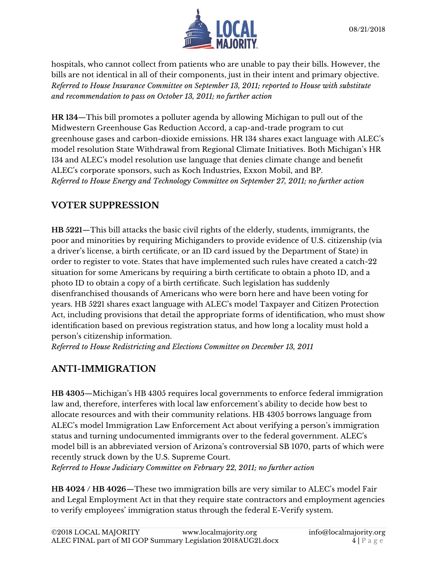

hospitals, who cannot collect from patients who are unable to pay their bills. However, the bills are not identical in all of their components, just in their intent and primary objective. *Referred to House Insurance Committee on September 13, 2011; reported to House with substitute and recommendation to pass on October 13, 2011; no further action*

**HR 134**—This bill promotes a polluter agenda by allowing Michigan to pull out of the Midwestern Greenhouse Gas Reduction Accord, a cap-and-trade program to cut greenhouse gases and carbon-dioxide emissions. HR 134 shares exact language with ALEC's model resolution State Withdrawal from Regional Climate Initiatives. Both Michigan's HR 134 and ALEC's model resolution use language that denies climate change and benefit ALEC's corporate sponsors, such as Koch Industries, Exxon Mobil, and BP. *Referred to House Energy and Technology Committee on September 27, 2011; no further action*

#### **VOTER SUPPRESSION**

**HB 5221**—This bill attacks the basic civil rights of the elderly, students, immigrants, the poor and minorities by requiring Michiganders to provide evidence of U.S. citizenship (via a driver's license, a birth certificate, or an ID card issued by the Department of State) in order to register to vote. States that have implemented such rules have created a catch-22 situation for some Americans by requiring a birth certificate to obtain a photo ID, and a photo ID to obtain a copy of a birth certificate. Such legislation has suddenly disenfranchised thousands of Americans who were born here and have been voting for years. HB 5221 shares exact language with ALEC's model Taxpayer and Citizen Protection Act, including provisions that detail the appropriate forms of identification, who must show identification based on previous registration status, and how long a locality must hold a person's citizenship information.

*Referred to House Redistricting and Elections Committee on December 13, 2011*

### **ANTI-IMMIGRATION**

**HB 4305**—Michigan's HB 4305 requires local governments to enforce federal immigration law and, therefore, interferes with local law enforcement's ability to decide how best to allocate resources and with their community relations. HB 4305 borrows language from ALEC's model Immigration Law Enforcement Act about verifying a person's immigration status and turning undocumented immigrants over to the federal government. ALEC's model bill is an abbreviated version of Arizona's controversial SB 1070, parts of which were recently struck down by the U.S. Supreme Court.

*Referred to House Judiciary Committee on February 22, 2011; no further action*

**HB 4024 / HB 4026**—These two immigration bills are very similar to ALEC's model Fair and Legal Employment Act in that they require state contractors and employment agencies to verify employees' immigration status through the federal E-Verify system.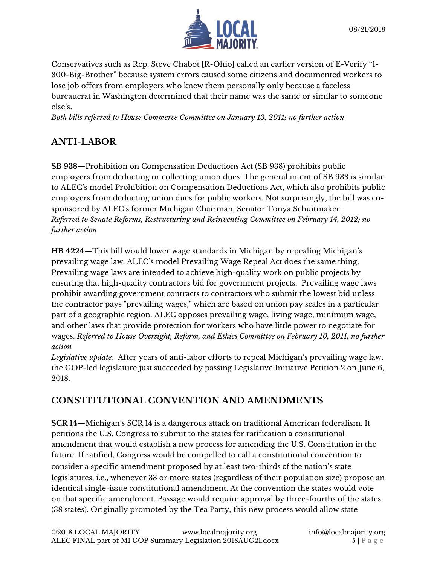

Conservatives such as Rep. Steve Chabot [R-Ohio] called an earlier version of E-Verify "1- 800-Big-Brother" because system errors caused some citizens and documented workers to lose job offers from employers who knew them personally only because a faceless bureaucrat in Washington determined that their name was the same or similar to someone else's.

*Both bills referred to House Commerce Committee on January 13, 2011; no further action*

## **ANTI-LABOR**

**SB 938**—Prohibition on Compensation Deductions Act (SB 938) prohibits public employers from deducting or collecting union dues. The general intent of SB 938 is similar to ALEC's model Prohibition on Compensation Deductions Act, which also prohibits public employers from deducting union dues for public workers. Not surprisingly, the bill was cosponsored by ALEC's former Michigan Chairman, Senator Tonya Schuitmaker. *Referred to Senate Reforms, Restructuring and Reinventing Committee on February 14, 2012; no further action*

**HB 4224**—This bill would lower wage standards in Michigan by repealing Michigan's prevailing wage law. ALEC's model Prevailing Wage Repeal Act does the same thing. Prevailing wage laws are intended to achieve high-quality work on public projects by ensuring that high-quality contractors bid for government projects. Prevailing wage laws prohibit awarding government contracts to contractors who submit the lowest bid unless the contractor pays "prevailing wages," which are based on union pay scales in a particular part of a geographic region. ALEC opposes prevailing wage, living wage, minimum wage, and other laws that provide protection for workers who have little power to negotiate for wages. *Referred to House Oversight, Reform, and Ethics Committee on February 10, 2011; no further action*

*Legislative update*: After years of anti-labor efforts to repeal Michigan's prevailing wage law, the GOP-led legislature just succeeded by passing Legislative Initiative Petition 2 on June 6, 2018.

### **CONSTITUTIONAL CONVENTION AND AMENDMENTS**

**SCR 14**—Michigan's SCR 14 is a dangerous attack on traditional American federalism. It petitions the U.S. Congress to submit to the states for ratification a constitutional amendment that would establish a new process for amending the U.S. Constitution in the future. If ratified, Congress would be compelled to call a constitutional convention to consider a specific amendment proposed by at least two-thirds of the nation's state legislatures, i.e., whenever 33 or more states (regardless of their population size) propose an identical single-issue constitutional amendment. At the convention the states would vote on that specific amendment. Passage would require approval by three-fourths of the states (38 states). Originally promoted by the Tea Party, this new process would allow state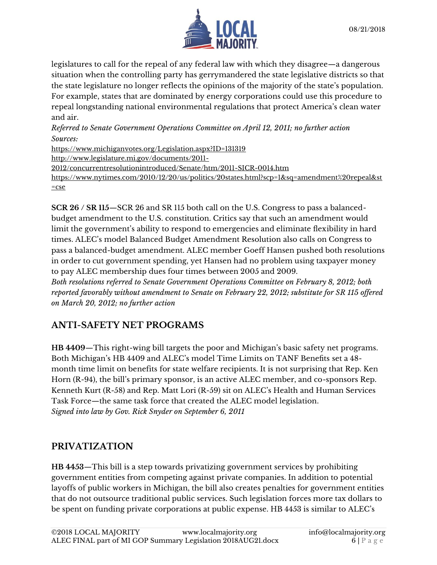

legislatures to call for the repeal of any federal law with which they disagree—a dangerous situation when the controlling party has gerrymandered the state legislative districts so that the state legislature no longer reflects the opinions of the majority of the state's population. For example, states that are dominated by energy corporations could use this procedure to repeal longstanding national environmental regulations that protect America's clean water and air.

*Referred to Senate Government Operations Committee on April 12, 2011; no further action Sources:*

<https://www.michiganvotes.org/Legislation.aspx?ID=131319> [http://www.legislature.mi.gov/documents/2011-](http://www.legislature.mi.gov/documents/2011-2012/concurrentresolutionintroduced/Senate/htm/2011-SICR-0014.htm) [2012/concurrentresolutionintroduced/Senate/htm/2011-SICR-0014.htm](http://www.legislature.mi.gov/documents/2011-2012/concurrentresolutionintroduced/Senate/htm/2011-SICR-0014.htm) https://www.nytimes.com/2010/12/20/us/politics/20states.html?scp=1&sq=amendment%20repeal&st =cse

**SCR 26 / SR 115**—SCR 26 and SR 115 both call on the U.S. Congress to pass a balancedbudget amendment to the U.S. constitution. Critics say that such an amendment would limit the government's ability to respond to emergencies and eliminate flexibility in hard times. ALEC's model Balanced Budget Amendment Resolution also calls on Congress to pass a balanced-budget amendment. ALEC member Goeff Hansen pushed both resolutions in order to cut government spending, yet Hansen had no problem using taxpayer money to pay ALEC membership dues four times between 2005 and 2009.

*Both resolutions referred to Senate Government Operations Committee on February 8, 2012; both reported favorably without amendment to Senate on February 22, 2012; substitute for SR 115 offered on March 20, 2012; no further action*

### **ANTI-SAFETY NET PROGRAMS**

**HB 4409**—This right-wing bill targets the poor and Michigan's basic safety net programs. Both Michigan's HB 4409 and ALEC's model Time Limits on TANF Benefits set a 48 month time limit on benefits for state welfare recipients. It is not surprising that Rep. Ken Horn (R-94), the bill's primary sponsor, is an active ALEC member, and co-sponsors Rep. Kenneth Kurt (R-58) and Rep. Matt Lori (R-59) sit on ALEC's Health and Human Services Task Force—the same task force that created the ALEC model legislation. *Signed into law by Gov. Rick Snyder on September 6, 2011*

### **PRIVATIZATION**

**HB 4453**—This bill is a step towards privatizing government services by prohibiting government entities from competing against private companies. In addition to potential layoffs of public workers in Michigan, the bill also creates penalties for government entities that do not outsource traditional public services. Such legislation forces more tax dollars to be spent on funding private corporations at public expense. HB 4453 is similar to ALEC's